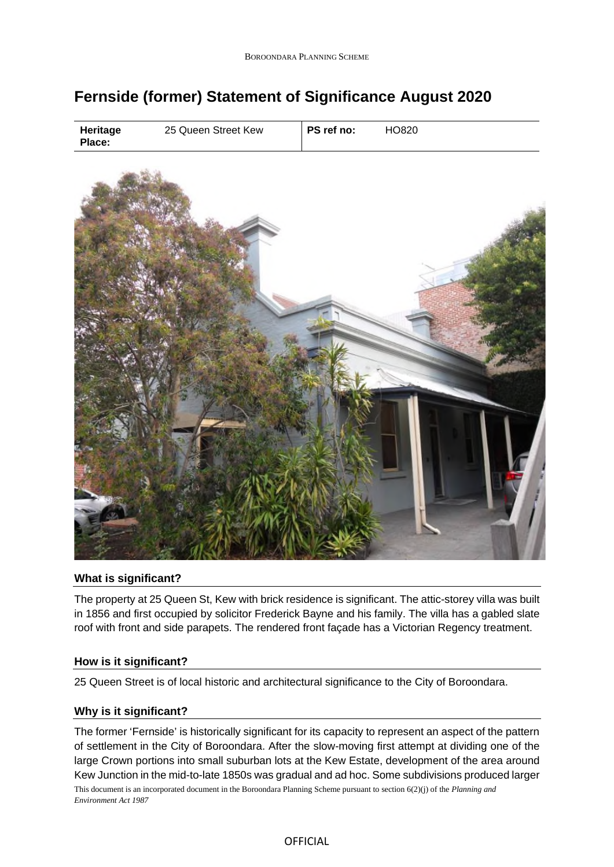# **Fernside (former) Statement of Significance August 2020**



## **What is significant?**

The property at 25 Queen St, Kew with brick residence is significant. The attic-storey villa was built in 1856 and first occupied by solicitor Frederick Bayne and his family. The villa has a gabled slate roof with front and side parapets. The rendered front façade has a Victorian Regency treatment.

## **How is it significant?**

25 Queen Street is of local historic and architectural significance to the City of Boroondara.

## **Why is it significant?**

This document is an incorporated document in the Boroondara Planning Scheme pursuant to section 6(2)(j) of the *Planning and Environment Act 1987* The former 'Fernside' is historically significant for its capacity to represent an aspect of the pattern of settlement in the City of Boroondara. After the slow-moving first attempt at dividing one of the large Crown portions into small suburban lots at the Kew Estate, development of the area around Kew Junction in the mid-to-late 1850s was gradual and ad hoc. Some subdivisions produced larger

OFFICIAL